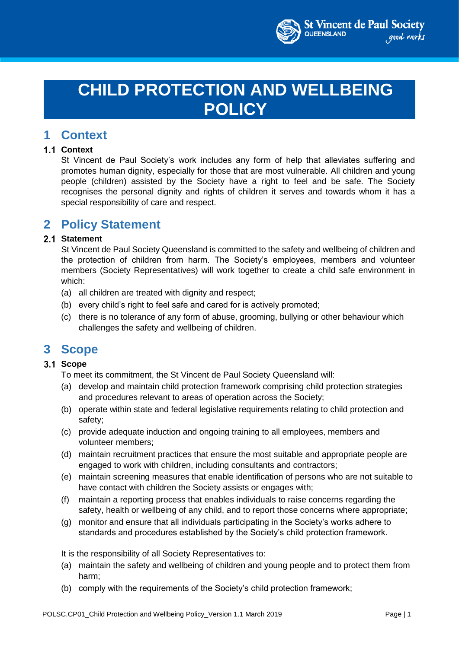

# **CHILD PROTECTION AND WELLBEING POLICY**

### **1 Context**

#### **1.1 Context**

St Vincent de Paul Society's work includes any form of help that alleviates suffering and promotes human dignity, especially for those that are most vulnerable. All children and young people (children) assisted by the Society have a right to feel and be safe. The Society recognises the personal dignity and rights of children it serves and towards whom it has a special responsibility of care and respect.

### **2 Policy Statement**

#### 2.1 Statement

St Vincent de Paul Society Queensland is committed to the safety and wellbeing of children and the protection of children from harm. The Society's employees, members and volunteer members (Society Representatives) will work together to create a child safe environment in which:

- (a) all children are treated with dignity and respect;
- (b) every child's right to feel safe and cared for is actively promoted;
- (c) there is no tolerance of any form of abuse, grooming, bullying or other behaviour which challenges the safety and wellbeing of children.

### **3 Scope**

#### 3.1 Scope

To meet its commitment, the St Vincent de Paul Society Queensland will:

- (a) develop and maintain child protection framework comprising child protection strategies and procedures relevant to areas of operation across the Society;
- (b) operate within state and federal legislative requirements relating to child protection and safety;
- (c) provide adequate induction and ongoing training to all employees, members and volunteer members;
- (d) maintain recruitment practices that ensure the most suitable and appropriate people are engaged to work with children, including consultants and contractors;
- (e) maintain screening measures that enable identification of persons who are not suitable to have contact with children the Society assists or engages with;
- (f) maintain a reporting process that enables individuals to raise concerns regarding the safety, health or wellbeing of any child, and to report those concerns where appropriate;
- (g) monitor and ensure that all individuals participating in the Society's works adhere to standards and procedures established by the Society's child protection framework.

It is the responsibility of all Society Representatives to:

- (a) maintain the safety and wellbeing of children and young people and to protect them from harm;
- (b) comply with the requirements of the Society's child protection framework;